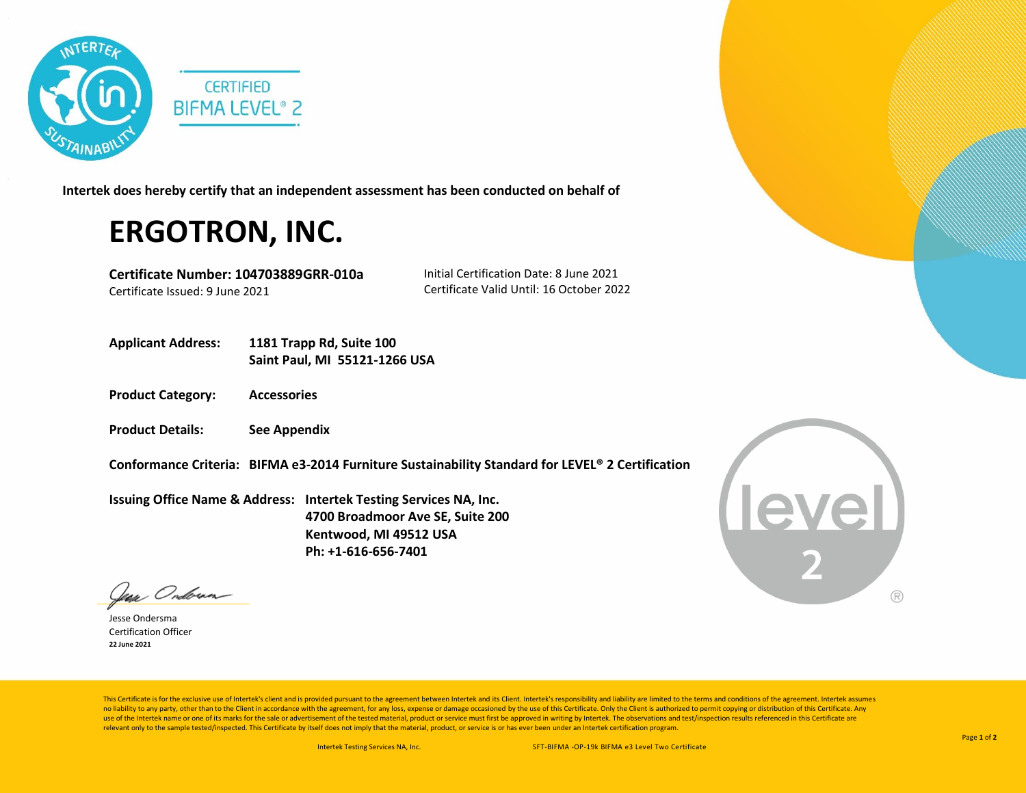

**Intertek does hereby certify that an independent assessment has been conducted on behalf of**

## **ERGOTRON, INC.**

**Certificate Number: 104703889GRR-010a** Certificate Issued: 9 June 2021

Initial Certification Date: 8 June 2021 Certificate Valid Until: 16 October 2022

- **Applicant Address: 1181 Trapp Rd, Suite 100 Saint Paul, MI 55121-1266 USA**
- **Product Category: Accessories**
- **Product Details: See Appendix**

**Conformance Criteria: BIFMA e3-2014 Furniture Sustainability Standard for LEVEL® 2 Certification**

**Issuing Office Name & Address: Intertek Testing Services NA, Inc. 4700 Broadmoor Ave SE, Suite 200 Kentwood, MI 49512 USA Ph: +1-616-656-7401**

**Level**  $( R )$ 

Jean Ondorma

Jesse Ondersma Certification Officer **22 June 2021**

This Certificate is for the exclusive use of Intertek's client and is provided pursuant to the agreement between Intertek and its Client. Intertek's responsibility and liability are limited to the terms and conditions of t no liability to any party, other than to the Client in accordance with the agreement, for any loss, expense or damage occasioned by the use of this Certificate. Only the Client is authorized to permit copying or distributi use of the Intertek name or one of its marks for the sale or advertisement of the tested material, product or service must first be approved in writing by Intertek. The observations and test/inspection results referenced i relevant only to the sample tested/inspected. This Certificate by itself does not imply that the material, product, or service is or has ever been under an Intertek certification program.